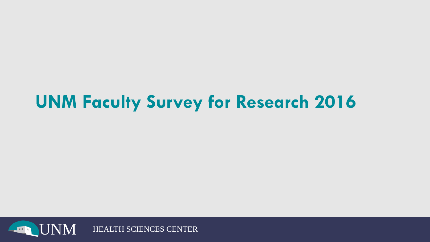# **UNM Faculty Survey for Research 2016**